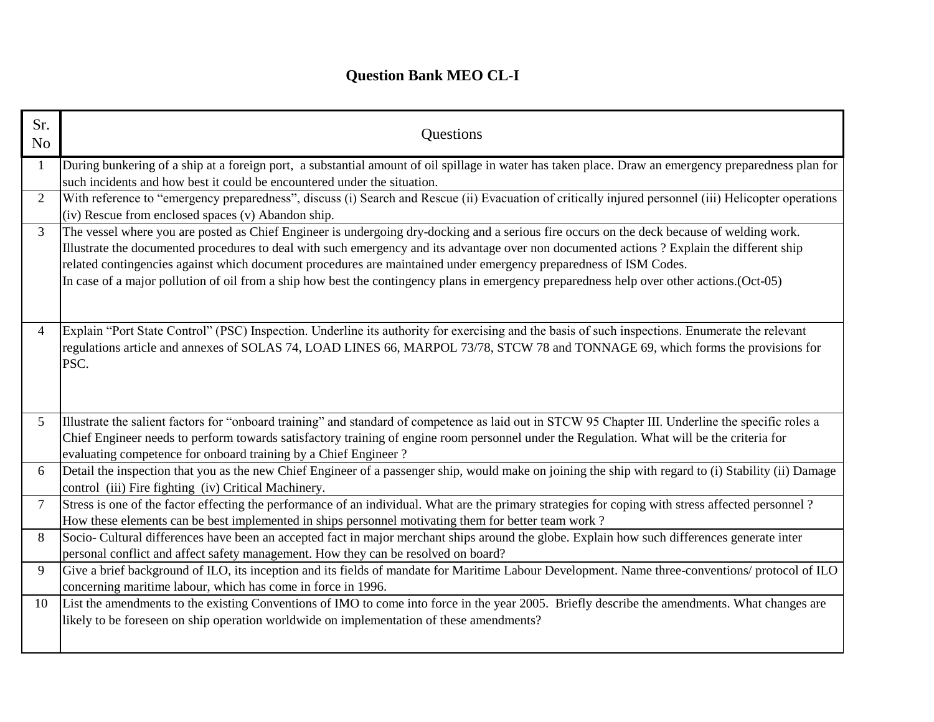## **Question Bank MEO CL-I**

| Sr.<br>N <sub>o</sub> | Questions                                                                                                                                                                                                                                                                                                                                                                                                                                                                                                                                                   |  |
|-----------------------|-------------------------------------------------------------------------------------------------------------------------------------------------------------------------------------------------------------------------------------------------------------------------------------------------------------------------------------------------------------------------------------------------------------------------------------------------------------------------------------------------------------------------------------------------------------|--|
| $\mathbf{1}$          | During bunkering of a ship at a foreign port, a substantial amount of oil spillage in water has taken place. Draw an emergency preparedness plan for<br>such incidents and how best it could be encountered under the situation.                                                                                                                                                                                                                                                                                                                            |  |
| $\overline{2}$        | With reference to "emergency preparedness", discuss (i) Search and Rescue (ii) Evacuation of critically injured personnel (iii) Helicopter operations<br>(iv) Rescue from enclosed spaces (v) Abandon ship.                                                                                                                                                                                                                                                                                                                                                 |  |
| $\overline{3}$        | The vessel where you are posted as Chief Engineer is undergoing dry-docking and a serious fire occurs on the deck because of welding work.<br>Illustrate the documented procedures to deal with such emergency and its advantage over non documented actions? Explain the different ship<br>related contingencies against which document procedures are maintained under emergency preparedness of ISM Codes.<br>In case of a major pollution of oil from a ship how best the contingency plans in emergency preparedness help over other actions. (Oct-05) |  |
| 4                     | Explain "Port State Control" (PSC) Inspection. Underline its authority for exercising and the basis of such inspections. Enumerate the relevant<br>regulations article and annexes of SOLAS 74, LOAD LINES 66, MARPOL 73/78, STCW 78 and TONNAGE 69, which forms the provisions for<br>PSC.                                                                                                                                                                                                                                                                 |  |
| 5 <sup>1</sup>        | Illustrate the salient factors for "onboard training" and standard of competence as laid out in STCW 95 Chapter III. Underline the specific roles a<br>Chief Engineer needs to perform towards satisfactory training of engine room personnel under the Regulation. What will be the criteria for<br>evaluating competence for onboard training by a Chief Engineer?                                                                                                                                                                                        |  |
| 6                     | Detail the inspection that you as the new Chief Engineer of a passenger ship, would make on joining the ship with regard to (i) Stability (ii) Damage<br>control (iii) Fire fighting (iv) Critical Machinery.                                                                                                                                                                                                                                                                                                                                               |  |
| $\tau$                | Stress is one of the factor effecting the performance of an individual. What are the primary strategies for coping with stress affected personnel?<br>How these elements can be best implemented in ships personnel motivating them for better team work?                                                                                                                                                                                                                                                                                                   |  |
| 8                     | Socio- Cultural differences have been an accepted fact in major merchant ships around the globe. Explain how such differences generate inter<br>personal conflict and affect safety management. How they can be resolved on board?                                                                                                                                                                                                                                                                                                                          |  |
| 9                     | Give a brief background of ILO, its inception and its fields of mandate for Maritime Labour Development. Name three-conventions/ protocol of ILO<br>concerning maritime labour, which has come in force in 1996.                                                                                                                                                                                                                                                                                                                                            |  |
| 10                    | List the amendments to the existing Conventions of IMO to come into force in the year 2005. Briefly describe the amendments. What changes are<br>likely to be foreseen on ship operation worldwide on implementation of these amendments?                                                                                                                                                                                                                                                                                                                   |  |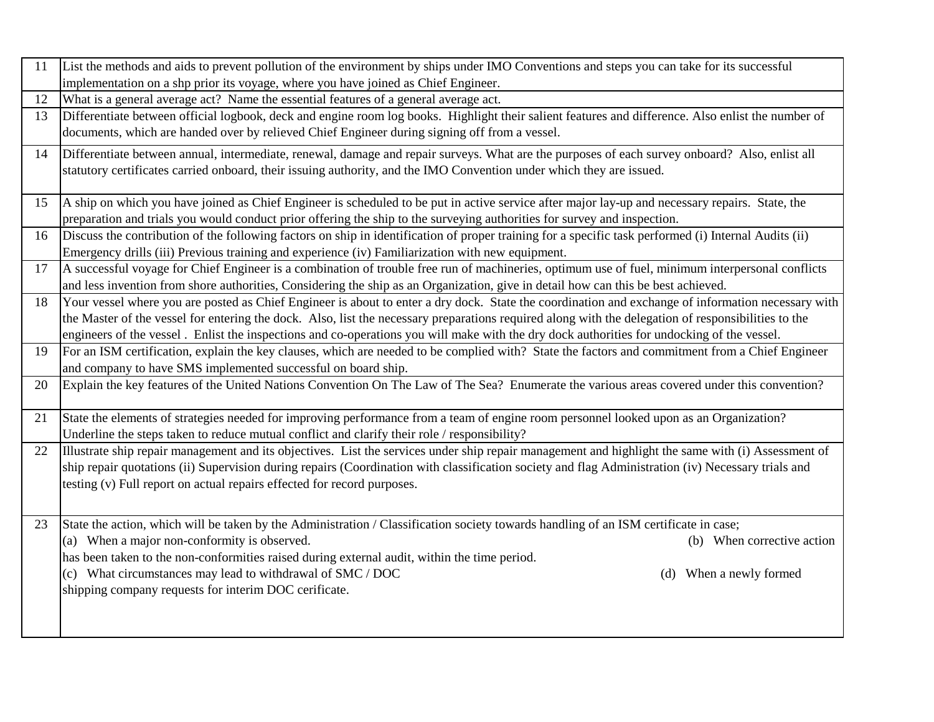| 11 | List the methods and aids to prevent pollution of the environment by ships under IMO Conventions and steps you can take for its successful            |  |  |
|----|-------------------------------------------------------------------------------------------------------------------------------------------------------|--|--|
|    | implementation on a shp prior its voyage, where you have joined as Chief Engineer.                                                                    |  |  |
| 12 | What is a general average act? Name the essential features of a general average act.                                                                  |  |  |
| 13 | Differentiate between official logbook, deck and engine room log books. Highlight their salient features and difference. Also enlist the number of    |  |  |
|    | documents, which are handed over by relieved Chief Engineer during signing off from a vessel.                                                         |  |  |
| 14 | Differentiate between annual, intermediate, renewal, damage and repair surveys. What are the purposes of each survey onboard? Also, enlist all        |  |  |
|    | statutory certificates carried onboard, their issuing authority, and the IMO Convention under which they are issued.                                  |  |  |
|    |                                                                                                                                                       |  |  |
| 15 | A ship on which you have joined as Chief Engineer is scheduled to be put in active service after major lay-up and necessary repairs. State, the       |  |  |
|    | preparation and trials you would conduct prior offering the ship to the surveying authorities for survey and inspection.                              |  |  |
| 16 | Discuss the contribution of the following factors on ship in identification of proper training for a specific task performed (i) Internal Audits (ii) |  |  |
|    | Emergency drills (iii) Previous training and experience (iv) Familiarization with new equipment.                                                      |  |  |
| 17 | A successful voyage for Chief Engineer is a combination of trouble free run of machineries, optimum use of fuel, minimum interpersonal conflicts      |  |  |
|    | and less invention from shore authorities, Considering the ship as an Organization, give in detail how can this be best achieved.                     |  |  |
| 18 | Your vessel where you are posted as Chief Engineer is about to enter a dry dock. State the coordination and exchange of information necessary with    |  |  |
|    | the Master of the vessel for entering the dock. Also, list the necessary preparations required along with the delegation of responsibilities to the   |  |  |
|    | engineers of the vessel. Enlist the inspections and co-operations you will make with the dry dock authorities for undocking of the vessel.            |  |  |
| 19 | For an ISM certification, explain the key clauses, which are needed to be complied with? State the factors and commitment from a Chief Engineer       |  |  |
|    | and company to have SMS implemented successful on board ship.                                                                                         |  |  |
| 20 | Explain the key features of the United Nations Convention On The Law of The Sea? Enumerate the various areas covered under this convention?           |  |  |
|    |                                                                                                                                                       |  |  |
| 21 | State the elements of strategies needed for improving performance from a team of engine room personnel looked upon as an Organization?                |  |  |
|    | Underline the steps taken to reduce mutual conflict and clarify their role / responsibility?                                                          |  |  |
| 22 | Illustrate ship repair management and its objectives. List the services under ship repair management and highlight the same with (i) Assessment of    |  |  |
|    | ship repair quotations (ii) Supervision during repairs (Coordination with classification society and flag Administration (iv) Necessary trials and    |  |  |
|    | testing (v) Full report on actual repairs effected for record purposes.                                                                               |  |  |
|    |                                                                                                                                                       |  |  |
| 23 | State the action, which will be taken by the Administration / Classification society towards handling of an ISM certificate in case;                  |  |  |
|    | (a) When a major non-conformity is observed.<br>(b) When corrective action                                                                            |  |  |
|    | has been taken to the non-conformities raised during external audit, within the time period.                                                          |  |  |
|    | (c) What circumstances may lead to withdrawal of SMC / DOC<br>(d) When a newly formed                                                                 |  |  |
|    | shipping company requests for interim DOC cerificate.                                                                                                 |  |  |
|    |                                                                                                                                                       |  |  |
|    |                                                                                                                                                       |  |  |
|    |                                                                                                                                                       |  |  |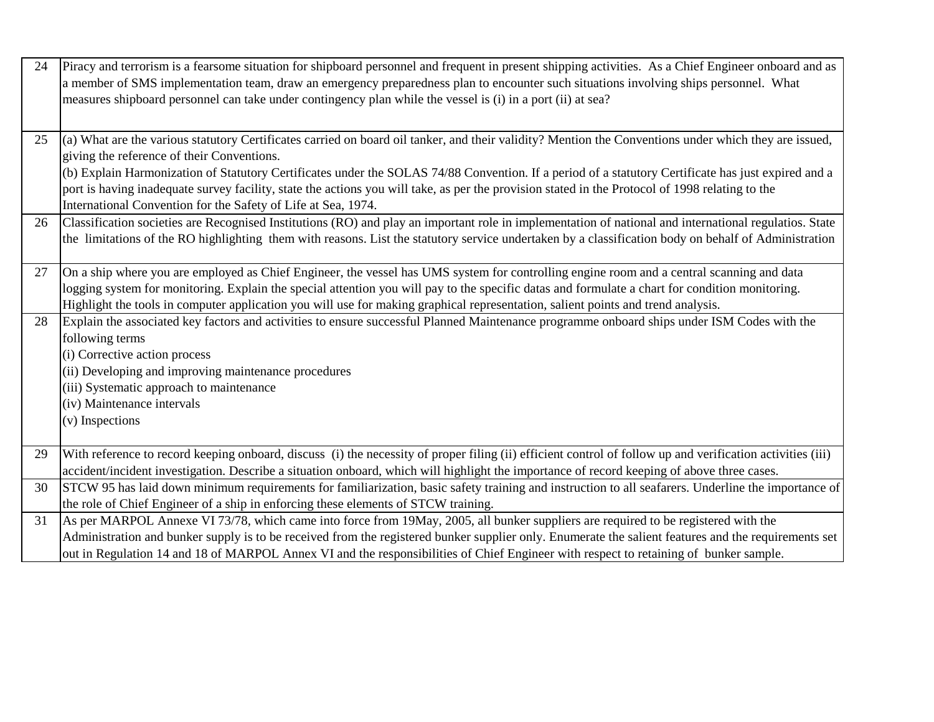| 24 | Piracy and terrorism is a fearsome situation for shipboard personnel and frequent in present shipping activities. As a Chief Engineer onboard and as<br>a member of SMS implementation team, draw an emergency preparedness plan to encounter such situations involving ships personnel. What<br>measures shipboard personnel can take under contingency plan while the vessel is (i) in a port (ii) at sea? |  |
|----|--------------------------------------------------------------------------------------------------------------------------------------------------------------------------------------------------------------------------------------------------------------------------------------------------------------------------------------------------------------------------------------------------------------|--|
| 25 | (a) What are the various statutory Certificates carried on board oil tanker, and their validity? Mention the Conventions under which they are issued,                                                                                                                                                                                                                                                        |  |
|    | giving the reference of their Conventions.<br>(b) Explain Harmonization of Statutory Certificates under the SOLAS 74/88 Convention. If a period of a statutory Certificate has just expired and a                                                                                                                                                                                                            |  |
|    | port is having inadequate survey facility, state the actions you will take, as per the provision stated in the Protocol of 1998 relating to the                                                                                                                                                                                                                                                              |  |
|    | International Convention for the Safety of Life at Sea, 1974.                                                                                                                                                                                                                                                                                                                                                |  |
| 26 | Classification societies are Recognised Institutions (RO) and play an important role in implementation of national and international regulatios. State                                                                                                                                                                                                                                                       |  |
|    | the limitations of the RO highlighting them with reasons. List the statutory service undertaken by a classification body on behalf of Administration                                                                                                                                                                                                                                                         |  |
| 27 | On a ship where you are employed as Chief Engineer, the vessel has UMS system for controlling engine room and a central scanning and data                                                                                                                                                                                                                                                                    |  |
|    | logging system for monitoring. Explain the special attention you will pay to the specific datas and formulate a chart for condition monitoring.                                                                                                                                                                                                                                                              |  |
|    | Highlight the tools in computer application you will use for making graphical representation, salient points and trend analysis.                                                                                                                                                                                                                                                                             |  |
| 28 | Explain the associated key factors and activities to ensure successful Planned Maintenance programme onboard ships under ISM Codes with the                                                                                                                                                                                                                                                                  |  |
|    | following terms                                                                                                                                                                                                                                                                                                                                                                                              |  |
|    | (i) Corrective action process                                                                                                                                                                                                                                                                                                                                                                                |  |
|    | (ii) Developing and improving maintenance procedures<br>(iii) Systematic approach to maintenance                                                                                                                                                                                                                                                                                                             |  |
|    | (iv) Maintenance intervals                                                                                                                                                                                                                                                                                                                                                                                   |  |
|    | (v) Inspections                                                                                                                                                                                                                                                                                                                                                                                              |  |
|    |                                                                                                                                                                                                                                                                                                                                                                                                              |  |
| 29 | With reference to record keeping onboard, discuss (i) the necessity of proper filing (ii) efficient control of follow up and verification activities (iii)                                                                                                                                                                                                                                                   |  |
|    | accident/incident investigation. Describe a situation onboard, which will highlight the importance of record keeping of above three cases.                                                                                                                                                                                                                                                                   |  |
| 30 | STCW 95 has laid down minimum requirements for familiarization, basic safety training and instruction to all seafarers. Underline the importance of                                                                                                                                                                                                                                                          |  |
|    | the role of Chief Engineer of a ship in enforcing these elements of STCW training.                                                                                                                                                                                                                                                                                                                           |  |
| 31 | As per MARPOL Annexe VI 73/78, which came into force from 19May, 2005, all bunker suppliers are required to be registered with the                                                                                                                                                                                                                                                                           |  |
|    | Administration and bunker supply is to be received from the registered bunker supplier only. Enumerate the salient features and the requirements set                                                                                                                                                                                                                                                         |  |
|    | out in Regulation 14 and 18 of MARPOL Annex VI and the responsibilities of Chief Engineer with respect to retaining of bunker sample.                                                                                                                                                                                                                                                                        |  |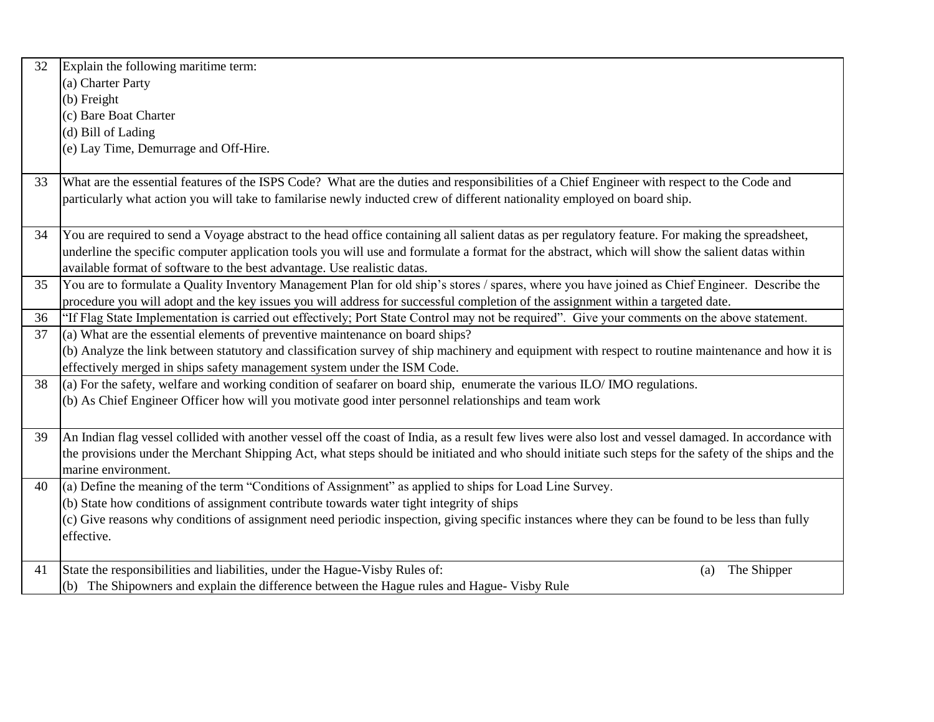| 32                                                                                       | Explain the following maritime term:                                                                                                                   |  |  |  |
|------------------------------------------------------------------------------------------|--------------------------------------------------------------------------------------------------------------------------------------------------------|--|--|--|
|                                                                                          | (a) Charter Party                                                                                                                                      |  |  |  |
|                                                                                          | (b) Freight                                                                                                                                            |  |  |  |
|                                                                                          | (c) Bare Boat Charter                                                                                                                                  |  |  |  |
|                                                                                          | (d) Bill of Lading                                                                                                                                     |  |  |  |
|                                                                                          | (e) Lay Time, Demurrage and Off-Hire.                                                                                                                  |  |  |  |
|                                                                                          |                                                                                                                                                        |  |  |  |
| 33                                                                                       | What are the essential features of the ISPS Code? What are the duties and responsibilities of a Chief Engineer with respect to the Code and            |  |  |  |
|                                                                                          | particularly what action you will take to familarise newly inducted crew of different nationality employed on board ship.                              |  |  |  |
|                                                                                          |                                                                                                                                                        |  |  |  |
| 34                                                                                       | You are required to send a Voyage abstract to the head office containing all salient datas as per regulatory feature. For making the spreadsheet,      |  |  |  |
|                                                                                          | underline the specific computer application tools you will use and formulate a format for the abstract, which will show the salient datas within       |  |  |  |
|                                                                                          | available format of software to the best advantage. Use realistic datas.                                                                               |  |  |  |
| 35                                                                                       | You are to formulate a Quality Inventory Management Plan for old ship's stores / spares, where you have joined as Chief Engineer. Describe the         |  |  |  |
|                                                                                          | procedure you will adopt and the key issues you will address for successful completion of the assignment within a targeted date.                       |  |  |  |
| 36                                                                                       | "If Flag State Implementation is carried out effectively; Port State Control may not be required". Give your comments on the above statement.          |  |  |  |
| 37                                                                                       | (a) What are the essential elements of preventive maintenance on board ships?                                                                          |  |  |  |
|                                                                                          | (b) Analyze the link between statutory and classification survey of ship machinery and equipment with respect to routine maintenance and how it is     |  |  |  |
|                                                                                          | effectively merged in ships safety management system under the ISM Code.                                                                               |  |  |  |
| 38                                                                                       | (a) For the safety, welfare and working condition of seafarer on board ship, enumerate the various $ILO/IMO$ regulations.                              |  |  |  |
|                                                                                          | (b) As Chief Engineer Officer how will you motivate good inter personnel relationships and team work                                                   |  |  |  |
|                                                                                          |                                                                                                                                                        |  |  |  |
| 39                                                                                       | An Indian flag vessel collided with another vessel off the coast of India, as a result few lives were also lost and vessel damaged. In accordance with |  |  |  |
|                                                                                          | the provisions under the Merchant Shipping Act, what steps should be initiated and who should initiate such steps for the safety of the ships and the  |  |  |  |
|                                                                                          | marine environment.                                                                                                                                    |  |  |  |
| 40                                                                                       | $\alpha$ ) Define the meaning of the term "Conditions of Assignment" as applied to ships for Load Line Survey.                                         |  |  |  |
| (b) State how conditions of assignment contribute towards water tight integrity of ships |                                                                                                                                                        |  |  |  |
|                                                                                          | (c) Give reasons why conditions of assignment need periodic inspection, giving specific instances where they can be found to be less than fully        |  |  |  |
|                                                                                          | effective.                                                                                                                                             |  |  |  |
|                                                                                          |                                                                                                                                                        |  |  |  |
| 41                                                                                       | State the responsibilities and liabilities, under the Hague-Visby Rules of:<br>The Shipper<br>(a)                                                      |  |  |  |
|                                                                                          | (b) The Shipowners and explain the difference between the Hague rules and Hague-Visby Rule                                                             |  |  |  |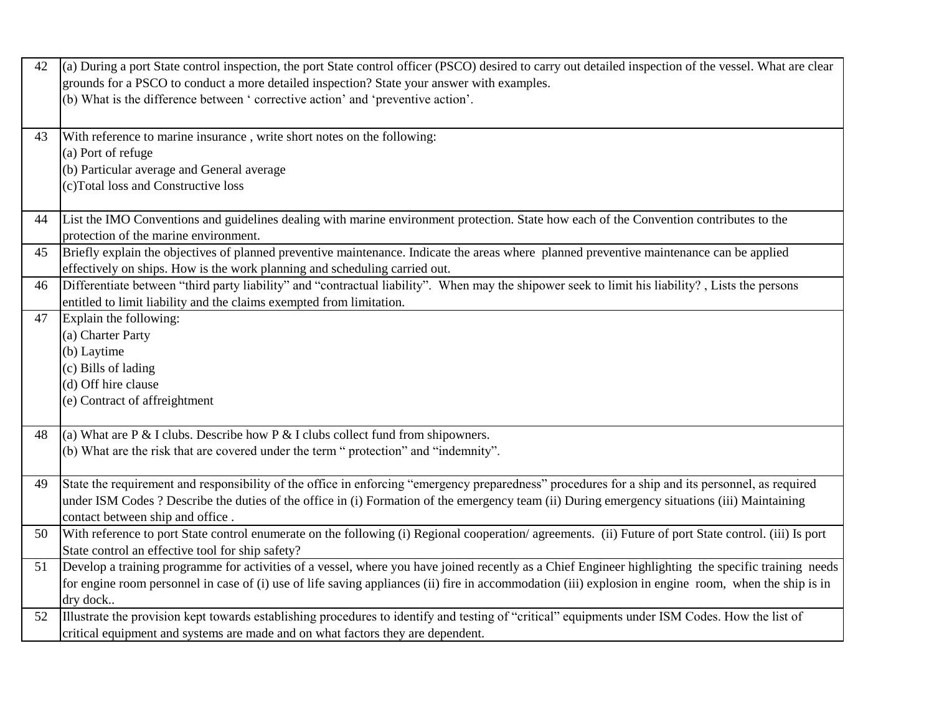| 42 | (a) During a port State control inspection, the port State control officer (PSCO) desired to carry out detailed inspection of the vessel. What are clear                                                 |
|----|----------------------------------------------------------------------------------------------------------------------------------------------------------------------------------------------------------|
|    | grounds for a PSCO to conduct a more detailed inspection? State your answer with examples.                                                                                                               |
|    | (b) What is the difference between ' corrective action' and 'preventive action'.                                                                                                                         |
|    |                                                                                                                                                                                                          |
| 43 | With reference to marine insurance, write short notes on the following:                                                                                                                                  |
|    | (a) Port of refuge                                                                                                                                                                                       |
|    | (b) Particular average and General average                                                                                                                                                               |
|    | (c)Total loss and Constructive loss                                                                                                                                                                      |
|    |                                                                                                                                                                                                          |
| 44 | List the IMO Conventions and guidelines dealing with marine environment protection. State how each of the Convention contributes to the                                                                  |
|    | protection of the marine environment.                                                                                                                                                                    |
| 45 | Briefly explain the objectives of planned preventive maintenance. Indicate the areas where planned preventive maintenance can be applied                                                                 |
|    | effectively on ships. How is the work planning and scheduling carried out.                                                                                                                               |
| 46 | Differentiate between "third party liability" and "contractual liability". When may the shipower seek to limit his liability?, Lists the persons                                                         |
|    | entitled to limit liability and the claims exempted from limitation.                                                                                                                                     |
| 47 | Explain the following:                                                                                                                                                                                   |
|    | (a) Charter Party                                                                                                                                                                                        |
|    | (b) Laytime                                                                                                                                                                                              |
|    | (c) Bills of lading                                                                                                                                                                                      |
|    | (d) Off hire clause                                                                                                                                                                                      |
|    | (e) Contract of affreightment                                                                                                                                                                            |
|    |                                                                                                                                                                                                          |
| 48 | (a) What are P & I clubs. Describe how P & I clubs collect fund from shipowners.                                                                                                                         |
|    | (b) What are the risk that are covered under the term " protection" and "indemnity".                                                                                                                     |
|    |                                                                                                                                                                                                          |
| 49 | State the requirement and responsibility of the office in enforcing "emergency preparedness" procedures for a ship and its personnel, as required                                                        |
|    | under ISM Codes ? Describe the duties of the office in (i) Formation of the emergency team (ii) During emergency situations (iii) Maintaining                                                            |
| 50 | contact between ship and office.<br>With reference to port State control enumerate on the following (i) Regional cooperation/agreements. (ii) Future of port State control. (iii) Is port                |
|    |                                                                                                                                                                                                          |
|    | State control an effective tool for ship safety?<br>Develop a training programme for activities of a vessel, where you have joined recently as a Chief Engineer highlighting the specific training needs |
| 51 |                                                                                                                                                                                                          |
|    | for engine room personnel in case of (i) use of life saving appliances (ii) fire in accommodation (iii) explosion in engine room, when the ship is in<br>dry dock                                        |
| 52 | Illustrate the provision kept towards establishing procedures to identify and testing of "critical" equipments under ISM Codes. How the list of                                                          |
|    | critical equipment and systems are made and on what factors they are dependent.                                                                                                                          |
|    |                                                                                                                                                                                                          |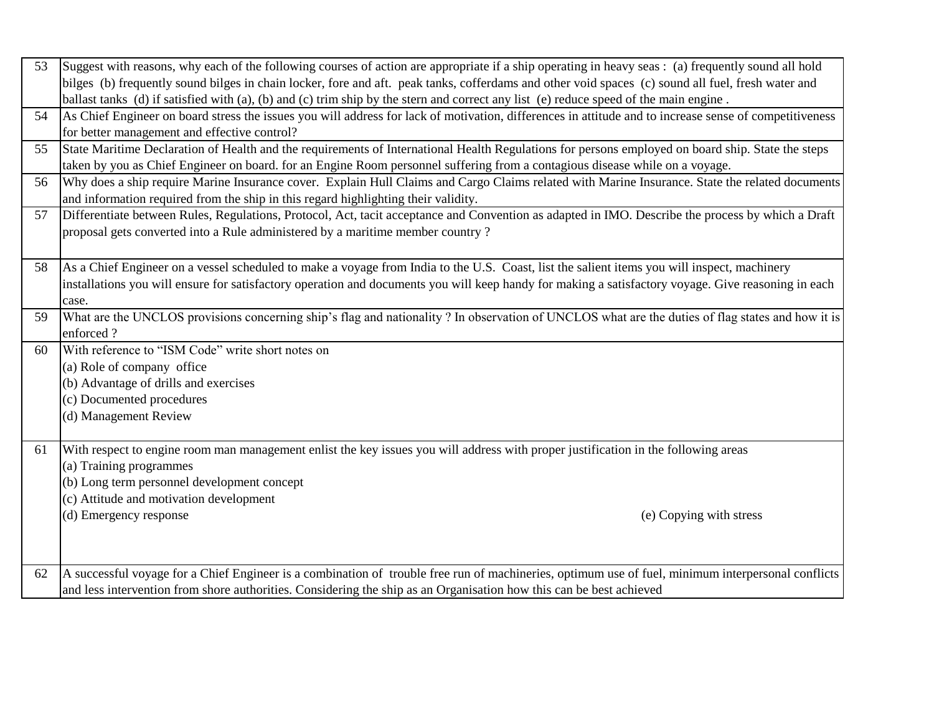| 53 | Suggest with reasons, why each of the following courses of action are appropriate if a ship operating in heavy seas: (a) frequently sound all hold     |  |  |
|----|--------------------------------------------------------------------------------------------------------------------------------------------------------|--|--|
|    | bilges (b) frequently sound bilges in chain locker, fore and aft. peak tanks, cofferdams and other void spaces (c) sound all fuel, fresh water and     |  |  |
|    | ballast tanks (d) if satisfied with (a), (b) and (c) trim ship by the stern and correct any list (e) reduce speed of the main engine.                  |  |  |
| 54 | As Chief Engineer on board stress the issues you will address for lack of motivation, differences in attitude and to increase sense of competitiveness |  |  |
|    | for better management and effective control?                                                                                                           |  |  |
| 55 | State Maritime Declaration of Health and the requirements of International Health Regulations for persons employed on board ship. State the steps      |  |  |
|    | taken by you as Chief Engineer on board. for an Engine Room personnel suffering from a contagious disease while on a voyage.                           |  |  |
| 56 | Why does a ship require Marine Insurance cover. Explain Hull Claims and Cargo Claims related with Marine Insurance. State the related documents        |  |  |
|    | and information required from the ship in this regard highlighting their validity.                                                                     |  |  |
| 57 | Differentiate between Rules, Regulations, Protocol, Act, tacit acceptance and Convention as adapted in IMO. Describe the process by which a Draft      |  |  |
|    | proposal gets converted into a Rule administered by a maritime member country?                                                                         |  |  |
|    |                                                                                                                                                        |  |  |
| 58 | As a Chief Engineer on a vessel scheduled to make a voyage from India to the U.S. Coast, list the salient items you will inspect, machinery            |  |  |
|    | installations you will ensure for satisfactory operation and documents you will keep handy for making a satisfactory voyage. Give reasoning in each    |  |  |
|    | case.                                                                                                                                                  |  |  |
| 59 | What are the UNCLOS provisions concerning ship's flag and nationality? In observation of UNCLOS what are the duties of flag states and how it is       |  |  |
|    | enforced?                                                                                                                                              |  |  |
| 60 | With reference to "ISM Code" write short notes on                                                                                                      |  |  |
|    | (a) Role of company office                                                                                                                             |  |  |
|    | (b) Advantage of drills and exercises                                                                                                                  |  |  |
|    | (c) Documented procedures                                                                                                                              |  |  |
|    | (d) Management Review                                                                                                                                  |  |  |
|    |                                                                                                                                                        |  |  |
| 61 | With respect to engine room man management enlist the key issues you will address with proper justification in the following areas                     |  |  |
|    | (a) Training programmes                                                                                                                                |  |  |
|    | (b) Long term personnel development concept                                                                                                            |  |  |
|    | (c) Attitude and motivation development                                                                                                                |  |  |
|    | (d) Emergency response<br>(e) Copying with stress                                                                                                      |  |  |
|    |                                                                                                                                                        |  |  |
|    |                                                                                                                                                        |  |  |
| 62 | A successful voyage for a Chief Engineer is a combination of trouble free run of machineries, optimum use of fuel, minimum interpersonal conflicts     |  |  |
|    | and less intervention from shore authorities. Considering the ship as an Organisation how this can be best achieved                                    |  |  |
|    |                                                                                                                                                        |  |  |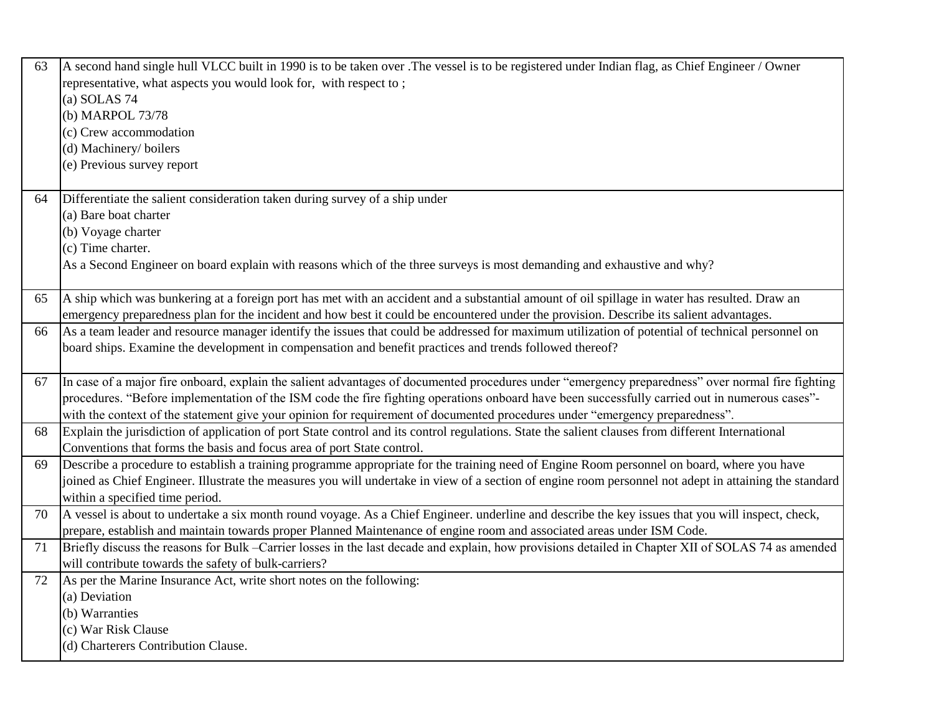| 63 | A second hand single hull VLCC built in 1990 is to be taken over .The vessel is to be registered under Indian flag, as Chief Engineer / Owner          |
|----|--------------------------------------------------------------------------------------------------------------------------------------------------------|
|    | representative, what aspects you would look for, with respect to;                                                                                      |
|    | $(a)$ SOLAS 74                                                                                                                                         |
|    | (b) MARPOL 73/78                                                                                                                                       |
|    | (c) Crew accommodation                                                                                                                                 |
|    | (d) Machinery/ boilers                                                                                                                                 |
|    | (e) Previous survey report                                                                                                                             |
| 64 | Differentiate the salient consideration taken during survey of a ship under                                                                            |
|    | (a) Bare boat charter                                                                                                                                  |
|    | (b) Voyage charter                                                                                                                                     |
|    | (c) Time charter.                                                                                                                                      |
|    | As a Second Engineer on board explain with reasons which of the three surveys is most demanding and exhaustive and why?                                |
| 65 | A ship which was bunkering at a foreign port has met with an accident and a substantial amount of oil spillage in water has resulted. Draw an          |
|    | emergency preparedness plan for the incident and how best it could be encountered under the provision. Describe its salient advantages.                |
| 66 | As a team leader and resource manager identify the issues that could be addressed for maximum utilization of potential of technical personnel on       |
|    | board ships. Examine the development in compensation and benefit practices and trends followed thereof?                                                |
|    |                                                                                                                                                        |
| 67 | In case of a major fire onboard, explain the salient advantages of documented procedures under "emergency preparedness" over normal fire fighting      |
|    | procedures. "Before implementation of the ISM code the fire fighting operations onboard have been successfully carried out in numerous cases"-         |
|    | with the context of the statement give your opinion for requirement of documented procedures under "emergency preparedness".                           |
| 68 | Explain the jurisdiction of application of port State control and its control regulations. State the salient clauses from different International      |
|    | Conventions that forms the basis and focus area of port State control.                                                                                 |
| 69 | Describe a procedure to establish a training programme appropriate for the training need of Engine Room personnel on board, where you have             |
|    | joined as Chief Engineer. Illustrate the measures you will undertake in view of a section of engine room personnel not adept in attaining the standard |
|    | within a specified time period.                                                                                                                        |
| 70 | A vessel is about to undertake a six month round voyage. As a Chief Engineer. underline and describe the key issues that you will inspect, check,      |
|    | prepare, establish and maintain towards proper Planned Maintenance of engine room and associated areas under ISM Code.                                 |
| 71 | Briefly discuss the reasons for Bulk –Carrier losses in the last decade and explain, how provisions detailed in Chapter XII of SOLAS 74 as amended     |
|    | will contribute towards the safety of bulk-carriers?                                                                                                   |
| 72 | As per the Marine Insurance Act, write short notes on the following:                                                                                   |
|    | (a) Deviation                                                                                                                                          |
|    | (b) Warranties                                                                                                                                         |
|    | (c) War Risk Clause                                                                                                                                    |
|    | (d) Charterers Contribution Clause.                                                                                                                    |
|    |                                                                                                                                                        |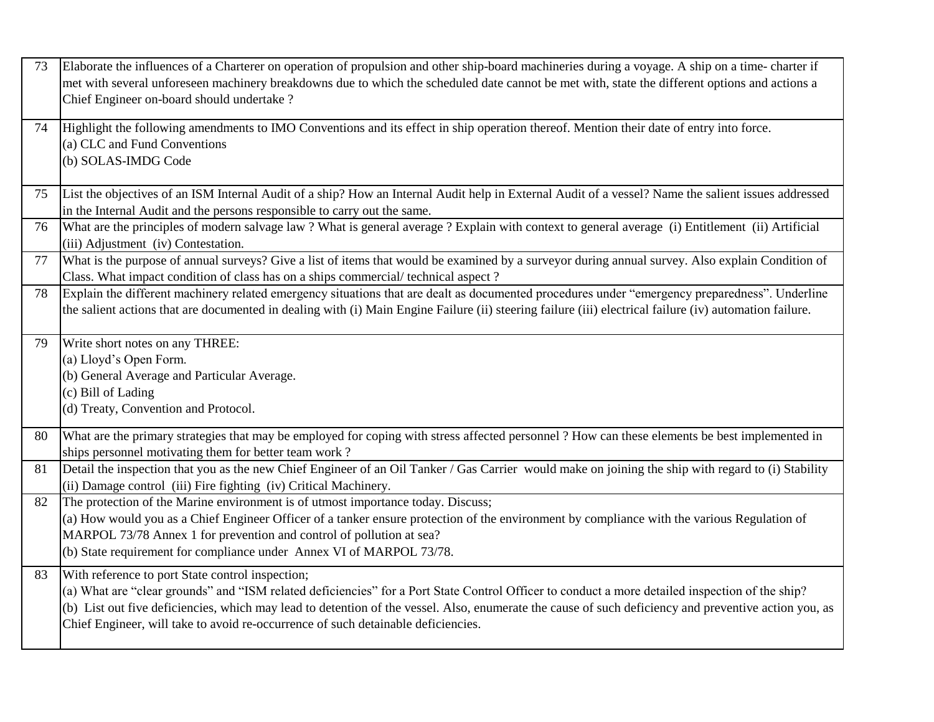| 73 | Elaborate the influences of a Charterer on operation of propulsion and other ship-board machineries during a voyage. A ship on a time-charter if<br>met with several unforeseen machinery breakdowns due to which the scheduled date cannot be met with, state the different options and actions a<br>Chief Engineer on-board should undertake?                                                                                                   |
|----|---------------------------------------------------------------------------------------------------------------------------------------------------------------------------------------------------------------------------------------------------------------------------------------------------------------------------------------------------------------------------------------------------------------------------------------------------|
| 74 | Highlight the following amendments to IMO Conventions and its effect in ship operation thereof. Mention their date of entry into force.<br>(a) CLC and Fund Conventions<br>(b) SOLAS-IMDG Code                                                                                                                                                                                                                                                    |
| 75 | List the objectives of an ISM Internal Audit of a ship? How an Internal Audit help in External Audit of a vessel? Name the salient issues addressed<br>in the Internal Audit and the persons responsible to carry out the same.                                                                                                                                                                                                                   |
| 76 | What are the principles of modern salvage law? What is general average? Explain with context to general average (i) Entitlement (ii) Artificial<br>(iii) Adjustment (iv) Contestation.                                                                                                                                                                                                                                                            |
| 77 | What is the purpose of annual surveys? Give a list of items that would be examined by a survey or during annual survey. Also explain Condition of<br>Class. What impact condition of class has on a ships commercial/technical aspect?                                                                                                                                                                                                            |
| 78 | Explain the different machinery related emergency situations that are dealt as documented procedures under "emergency preparedness". Underline<br>the salient actions that are documented in dealing with (i) Main Engine Failure (ii) steering failure (iii) electrical failure (iv) automation failure.                                                                                                                                         |
| 79 | Write short notes on any THREE:<br>(a) Lloyd's Open Form.<br>(b) General Average and Particular Average.<br>(c) Bill of Lading<br>(d) Treaty, Convention and Protocol.                                                                                                                                                                                                                                                                            |
| 80 | What are the primary strategies that may be employed for coping with stress affected personnel? How can these elements be best implemented in<br>ships personnel motivating them for better team work?                                                                                                                                                                                                                                            |
| 81 | Detail the inspection that you as the new Chief Engineer of an Oil Tanker / Gas Carrier would make on joining the ship with regard to (i) Stability<br>(ii) Damage control (iii) Fire fighting (iv) Critical Machinery.                                                                                                                                                                                                                           |
| 82 | The protection of the Marine environment is of utmost importance today. Discuss;<br>(a) How would you as a Chief Engineer Officer of a tanker ensure protection of the environment by compliance with the various Regulation of<br>MARPOL 73/78 Annex 1 for prevention and control of pollution at sea?<br>(b) State requirement for compliance under Annex VI of MARPOL 73/78.                                                                   |
| 83 | With reference to port State control inspection;<br>(a) What are "clear grounds" and "ISM related deficiencies" for a Port State Control Officer to conduct a more detailed inspection of the ship?<br>(b) List out five deficiencies, which may lead to detention of the vessel. Also, enumerate the cause of such deficiency and preventive action you, as<br>Chief Engineer, will take to avoid re-occurrence of such detainable deficiencies. |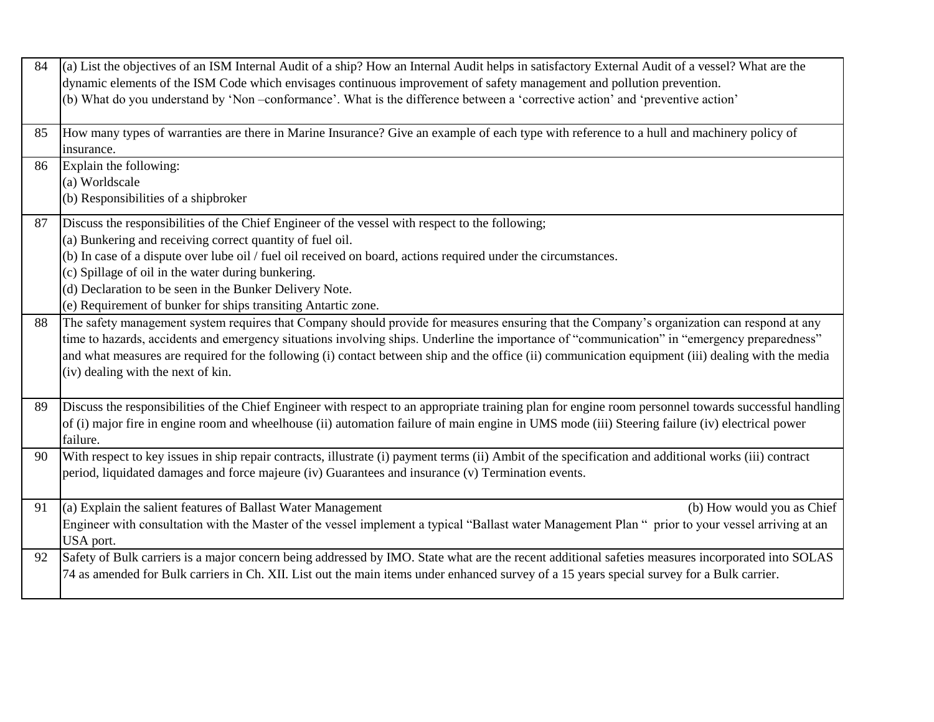| 84 | (a) List the objectives of an ISM Internal Audit of a ship? How an Internal Audit helps in satisfactory External Audit of a vessel? What are the<br>dynamic elements of the ISM Code which envisages continuous improvement of safety management and pollution prevention.<br>(b) What do you understand by 'Non-conformance'. What is the difference between a 'corrective action' and 'preventive action'                                                                            |
|----|----------------------------------------------------------------------------------------------------------------------------------------------------------------------------------------------------------------------------------------------------------------------------------------------------------------------------------------------------------------------------------------------------------------------------------------------------------------------------------------|
| 85 | How many types of warranties are there in Marine Insurance? Give an example of each type with reference to a hull and machinery policy of<br>insurance.                                                                                                                                                                                                                                                                                                                                |
| 86 | Explain the following:<br>(a) Worldscale<br>(b) Responsibilities of a shipbroker                                                                                                                                                                                                                                                                                                                                                                                                       |
| 87 | Discuss the responsibilities of the Chief Engineer of the vessel with respect to the following;<br>(a) Bunkering and receiving correct quantity of fuel oil.<br>(b) In case of a dispute over lube oil / fuel oil received on board, actions required under the circumstances.<br>(c) Spillage of oil in the water during bunkering.<br>(d) Declaration to be seen in the Bunker Delivery Note.<br>(e) Requirement of bunker for ships transiting Antartic zone.                       |
| 88 | The safety management system requires that Company should provide for measures ensuring that the Company's organization can respond at any<br>time to hazards, accidents and emergency situations involving ships. Underline the importance of "communication" in "emergency preparedness"<br>and what measures are required for the following (i) contact between ship and the office (ii) communication equipment (iii) dealing with the media<br>(iv) dealing with the next of kin. |
| 89 | Discuss the responsibilities of the Chief Engineer with respect to an appropriate training plan for engine room personnel towards successful handling<br>of (i) major fire in engine room and wheelhouse (ii) automation failure of main engine in UMS mode (iii) Steering failure (iv) electrical power<br>failure.                                                                                                                                                                   |
| 90 | With respect to key issues in ship repair contracts, illustrate (i) payment terms (ii) Ambit of the specification and additional works (iii) contract<br>period, liquidated damages and force majeure (iv) Guarantees and insurance (v) Termination events.                                                                                                                                                                                                                            |
| 91 | (a) Explain the salient features of Ballast Water Management<br>(b) How would you as Chief<br>Engineer with consultation with the Master of the vessel implement a typical "Ballast water Management Plan " prior to your vessel arriving at an<br>USA port.                                                                                                                                                                                                                           |
| 92 | Safety of Bulk carriers is a major concern being addressed by IMO. State what are the recent additional safeties measures incorporated into SOLAS<br>74 as amended for Bulk carriers in Ch. XII. List out the main items under enhanced survey of a 15 years special survey for a Bulk carrier.                                                                                                                                                                                        |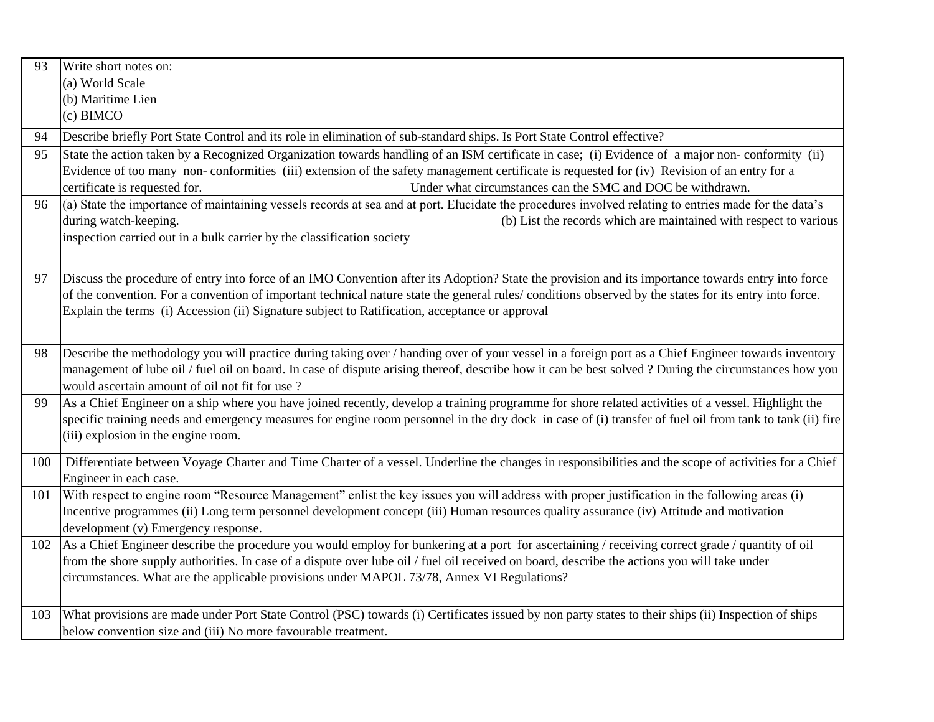| 93                                                                                                                                                    | Write short notes on:                                                                                                                                    |  |
|-------------------------------------------------------------------------------------------------------------------------------------------------------|----------------------------------------------------------------------------------------------------------------------------------------------------------|--|
|                                                                                                                                                       | (a) World Scale                                                                                                                                          |  |
|                                                                                                                                                       | (b) Maritime Lien                                                                                                                                        |  |
|                                                                                                                                                       | $(c)$ BIMCO                                                                                                                                              |  |
| 94                                                                                                                                                    | Describe briefly Port State Control and its role in elimination of sub-standard ships. Is Port State Control effective?                                  |  |
| State the action taken by a Recognized Organization towards handling of an ISM certificate in case; (i) Evidence of a major non-conformity (ii)<br>95 |                                                                                                                                                          |  |
|                                                                                                                                                       | Evidence of too many non-conformities (iii) extension of the safety management certificate is requested for (iv) Revision of an entry for a              |  |
|                                                                                                                                                       | Under what circumstances can the SMC and DOC be withdrawn.<br>certificate is requested for.                                                              |  |
| 96                                                                                                                                                    | (a) State the importance of maintaining vessels records at sea and at port. Elucidate the procedures involved relating to entries made for the data's    |  |
|                                                                                                                                                       | during watch-keeping.<br>(b) List the records which are maintained with respect to various                                                               |  |
|                                                                                                                                                       | inspection carried out in a bulk carrier by the classification society                                                                                   |  |
|                                                                                                                                                       |                                                                                                                                                          |  |
| 97                                                                                                                                                    | Discuss the procedure of entry into force of an IMO Convention after its Adoption? State the provision and its importance towards entry into force       |  |
|                                                                                                                                                       | of the convention. For a convention of important technical nature state the general rules/ conditions observed by the states for its entry into force.   |  |
|                                                                                                                                                       | Explain the terms (i) Accession (ii) Signature subject to Ratification, acceptance or approval                                                           |  |
|                                                                                                                                                       |                                                                                                                                                          |  |
| 98                                                                                                                                                    | Describe the methodology you will practice during taking over / handing over of your vessel in a foreign port as a Chief Engineer towards inventory      |  |
|                                                                                                                                                       | management of lube oil / fuel oil on board. In case of dispute arising thereof, describe how it can be best solved ? During the circumstances how you    |  |
|                                                                                                                                                       | would ascertain amount of oil not fit for use?                                                                                                           |  |
| 99                                                                                                                                                    | As a Chief Engineer on a ship where you have joined recently, develop a training programme for shore related activities of a vessel. Highlight the       |  |
|                                                                                                                                                       | specific training needs and emergency measures for engine room personnel in the dry dock in case of (i) transfer of fuel oil from tank to tank (ii) fire |  |
|                                                                                                                                                       | (iii) explosion in the engine room.                                                                                                                      |  |
| 100                                                                                                                                                   | Differentiate between Voyage Charter and Time Charter of a vessel. Underline the changes in responsibilities and the scope of activities for a Chief     |  |
|                                                                                                                                                       | Engineer in each case.                                                                                                                                   |  |
| 101                                                                                                                                                   | With respect to engine room "Resource Management" enlist the key issues you will address with proper justification in the following areas (i)            |  |
|                                                                                                                                                       | Incentive programmes (ii) Long term personnel development concept (iii) Human resources quality assurance (iv) Attitude and motivation                   |  |
|                                                                                                                                                       | development (v) Emergency response.                                                                                                                      |  |
| 102                                                                                                                                                   | As a Chief Engineer describe the procedure you would employ for bunkering at a port for ascertaining / receiving correct grade / quantity of oil         |  |
|                                                                                                                                                       | from the shore supply authorities. In case of a dispute over lube oil / fuel oil received on board, describe the actions you will take under             |  |
|                                                                                                                                                       | circumstances. What are the applicable provisions under MAPOL 73/78, Annex VI Regulations?                                                               |  |
|                                                                                                                                                       |                                                                                                                                                          |  |
| 103                                                                                                                                                   | What provisions are made under Port State Control (PSC) towards (i) Certificates issued by non party states to their ships (ii) Inspection of ships      |  |
|                                                                                                                                                       | below convention size and (iii) No more favourable treatment.                                                                                            |  |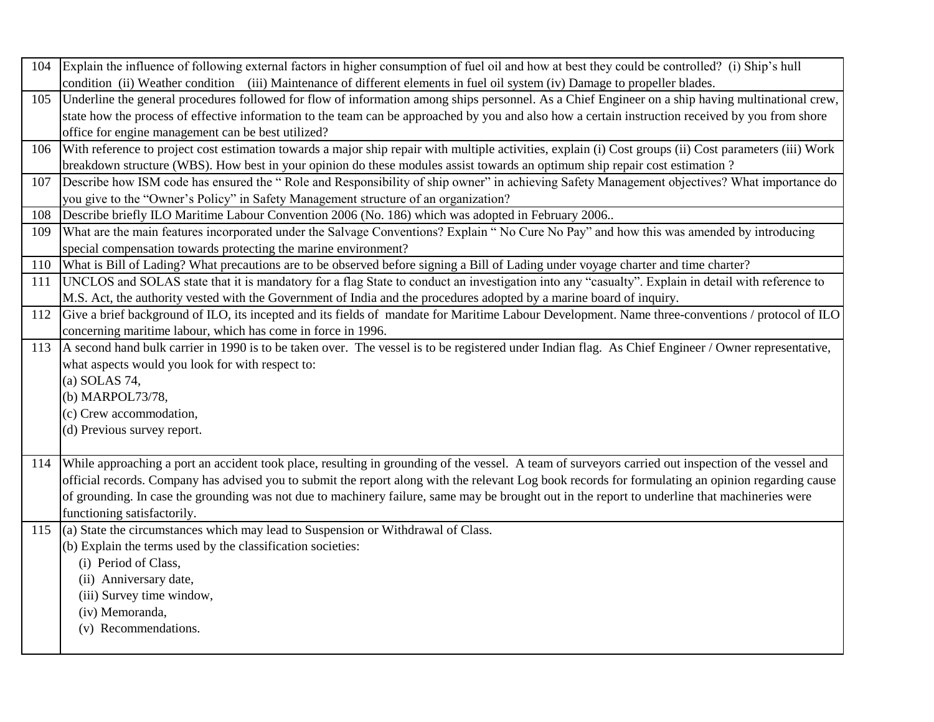|     | 104 Explain the influence of following external factors in higher consumption of fuel oil and how at best they could be controlled? (i) Ship's hull     |  |  |
|-----|---------------------------------------------------------------------------------------------------------------------------------------------------------|--|--|
|     | condition (ii) Weather condition (iii) Maintenance of different elements in fuel oil system (iv) Damage to propeller blades.                            |  |  |
| 105 | Underline the general procedures followed for flow of information among ships personnel. As a Chief Engineer on a ship having multinational crew,       |  |  |
|     | state how the process of effective information to the team can be approached by you and also how a certain instruction received by you from shore       |  |  |
|     | office for engine management can be best utilized?                                                                                                      |  |  |
| 106 | With reference to project cost estimation towards a major ship repair with multiple activities, explain (i) Cost groups (ii) Cost parameters (iii) Work |  |  |
|     | breakdown structure (WBS). How best in your opinion do these modules assist towards an optimum ship repair cost estimation?                             |  |  |
| 107 | Describe how ISM code has ensured the "Role and Responsibility of ship owner" in achieving Safety Management objectives? What importance do             |  |  |
|     | you give to the "Owner's Policy" in Safety Management structure of an organization?                                                                     |  |  |
| 108 | Describe briefly ILO Maritime Labour Convention 2006 (No. 186) which was adopted in February 2006                                                       |  |  |
| 109 | What are the main features incorporated under the Salvage Conventions? Explain "No Cure No Pay" and how this was amended by introducing                 |  |  |
|     | special compensation towards protecting the marine environment?                                                                                         |  |  |
| 110 | What is Bill of Lading? What precautions are to be observed before signing a Bill of Lading under voyage charter and time charter?                      |  |  |
| 111 | UNCLOS and SOLAS state that it is mandatory for a flag State to conduct an investigation into any "casualty". Explain in detail with reference to       |  |  |
|     | M.S. Act, the authority vested with the Government of India and the procedures adopted by a marine board of inquiry.                                    |  |  |
| 112 | Give a brief background of ILO, its incepted and its fields of mandate for Maritime Labour Development. Name three-conventions / protocol of ILO        |  |  |
|     | concerning maritime labour, which has come in force in 1996.                                                                                            |  |  |
| 113 | A second hand bulk carrier in 1990 is to be taken over. The vessel is to be registered under Indian flag. As Chief Engineer / Owner representative,     |  |  |
|     | what aspects would you look for with respect to:                                                                                                        |  |  |
|     | (a) SOLAS 74,                                                                                                                                           |  |  |
|     | (b) MARPOL73/78,                                                                                                                                        |  |  |
|     | (c) Crew accommodation,                                                                                                                                 |  |  |
|     | (d) Previous survey report.                                                                                                                             |  |  |
|     |                                                                                                                                                         |  |  |
| 114 | While approaching a port an accident took place, resulting in grounding of the vessel. A team of surveyors carried out inspection of the vessel and     |  |  |
|     | official records. Company has advised you to submit the report along with the relevant Log book records for formulating an opinion regarding cause      |  |  |
|     | of grounding. In case the grounding was not due to machinery failure, same may be brought out in the report to underline that machineries were          |  |  |
|     | functioning satisfactorily.                                                                                                                             |  |  |
| 115 | (a) State the circumstances which may lead to Suspension or Withdrawal of Class.                                                                        |  |  |
|     | (b) Explain the terms used by the classification societies:                                                                                             |  |  |
|     | (i) Period of Class,                                                                                                                                    |  |  |
|     | (ii) Anniversary date,                                                                                                                                  |  |  |
|     | (iii) Survey time window,                                                                                                                               |  |  |
|     | (iv) Memoranda,                                                                                                                                         |  |  |
|     | (v) Recommendations.                                                                                                                                    |  |  |
|     |                                                                                                                                                         |  |  |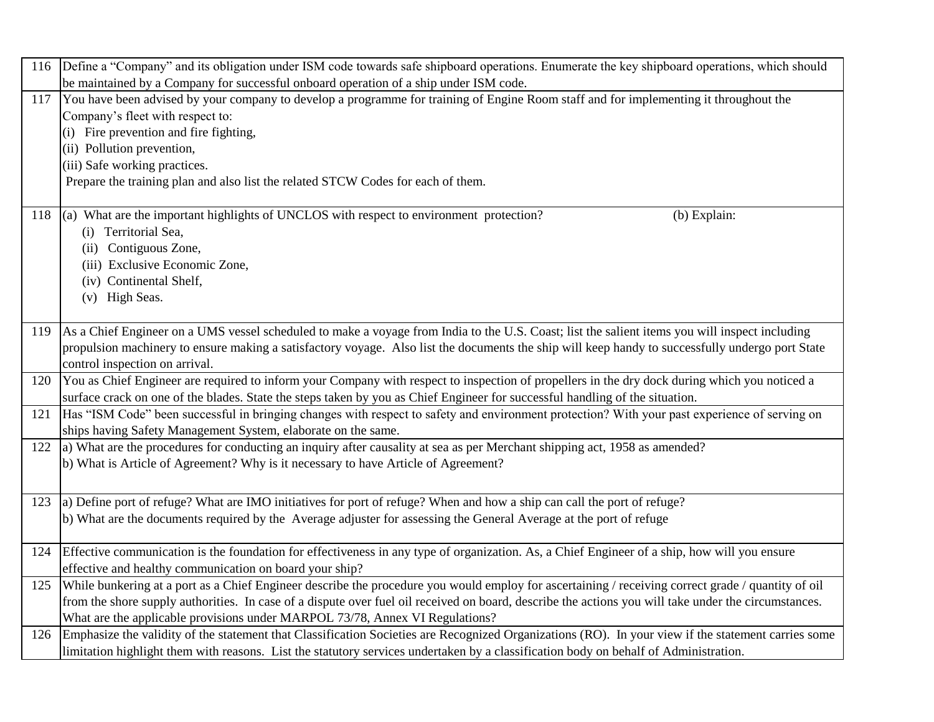| 116 Define a "Company" and its obligation under ISM code towards safe shipboard operations. Enumerate the key shipboard operations, which should           |  |
|------------------------------------------------------------------------------------------------------------------------------------------------------------|--|
| be maintained by a Company for successful onboard operation of a ship under ISM code.                                                                      |  |
| You have been advised by your company to develop a programme for training of Engine Room staff and for implementing it throughout the<br>117               |  |
| Company's fleet with respect to:                                                                                                                           |  |
| (i) Fire prevention and fire fighting,                                                                                                                     |  |
| (ii) Pollution prevention,                                                                                                                                 |  |
| (iii) Safe working practices.                                                                                                                              |  |
| Prepare the training plan and also list the related STCW Codes for each of them.                                                                           |  |
|                                                                                                                                                            |  |
| (a) What are the important highlights of UNCLOS with respect to environment protection?<br>118<br>(b) Explain:                                             |  |
| (i) Territorial Sea,                                                                                                                                       |  |
| (ii) Contiguous Zone,                                                                                                                                      |  |
| (iii) Exclusive Economic Zone,                                                                                                                             |  |
| (iv) Continental Shelf,                                                                                                                                    |  |
| (v) High Seas.                                                                                                                                             |  |
|                                                                                                                                                            |  |
| 119 As a Chief Engineer on a UMS vessel scheduled to make a voyage from India to the U.S. Coast; list the salient items you will inspect including         |  |
| propulsion machinery to ensure making a satisfactory voyage. Also list the documents the ship will keep handy to successfully undergo port State           |  |
| control inspection on arrival.                                                                                                                             |  |
| You as Chief Engineer are required to inform your Company with respect to inspection of propellers in the dry dock during which you noticed a<br>120       |  |
| surface crack on one of the blades. State the steps taken by you as Chief Engineer for successful handling of the situation.                               |  |
| Has "ISM Code" been successful in bringing changes with respect to safety and environment protection? With your past experience of serving on<br>121       |  |
| ships having Safety Management System, elaborate on the same.                                                                                              |  |
| a) What are the procedures for conducting an inquiry after causality at sea as per Merchant shipping act, 1958 as amended?<br>122                          |  |
| b) What is Article of Agreement? Why is it necessary to have Article of Agreement?                                                                         |  |
|                                                                                                                                                            |  |
| 123 a) Define port of refuge? What are IMO initiatives for port of refuge? When and how a ship can call the port of refuge?                                |  |
| b) What are the documents required by the Average adjuster for assessing the General Average at the port of refuge                                         |  |
|                                                                                                                                                            |  |
| Effective communication is the foundation for effectiveness in any type of organization. As, a Chief Engineer of a ship, how will you ensure<br>124        |  |
| effective and healthy communication on board your ship?                                                                                                    |  |
| While bunkering at a port as a Chief Engineer describe the procedure you would employ for ascertaining / receiving correct grade / quantity of oil<br>125  |  |
| from the shore supply authorities. In case of a dispute over fuel oil received on board, describe the actions you will take under the circumstances.       |  |
| What are the applicable provisions under MARPOL 73/78, Annex VI Regulations?                                                                               |  |
| Emphasize the validity of the statement that Classification Societies are Recognized Organizations (RO). In your view if the statement carries some<br>126 |  |
| limitation highlight them with reasons. List the statutory services undertaken by a classification body on behalf of Administration.                       |  |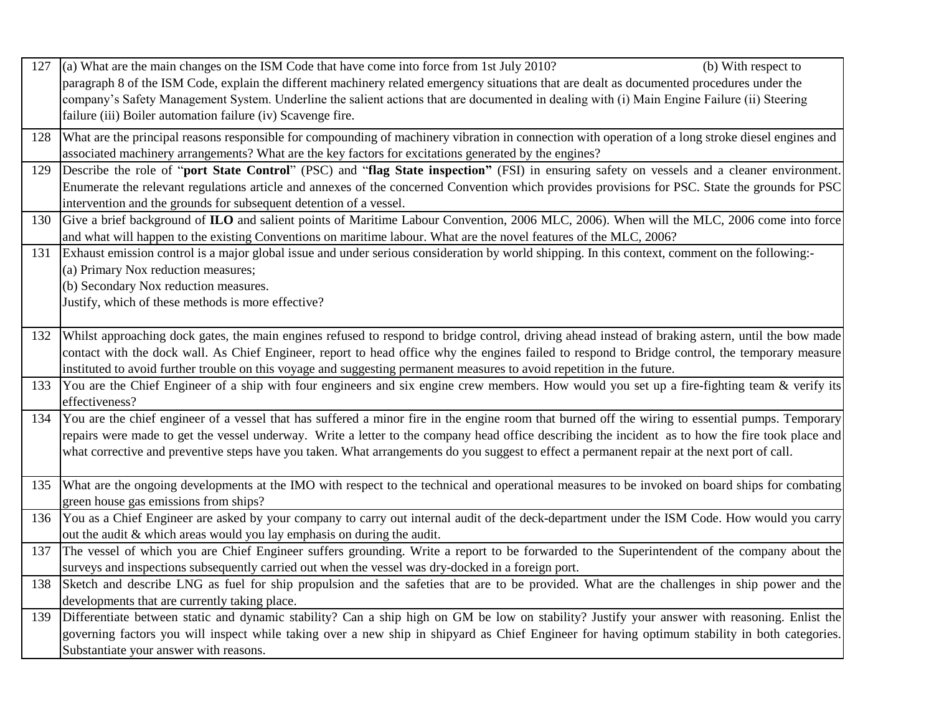| 127 | (a) What are the main changes on the ISM Code that have come into force from 1st July 2010?<br>(b) With respect to                                                                             |
|-----|------------------------------------------------------------------------------------------------------------------------------------------------------------------------------------------------|
|     | paragraph 8 of the ISM Code, explain the different machinery related emergency situations that are dealt as documented procedures under the                                                    |
|     | company's Safety Management System. Underline the salient actions that are documented in dealing with (i) Main Engine Failure (ii) Steering                                                    |
|     | failure (iii) Boiler automation failure (iv) Scavenge fire.                                                                                                                                    |
| 128 | What are the principal reasons responsible for compounding of machinery vibration in connection with operation of a long stroke diesel engines and                                             |
|     | associated machinery arrangements? What are the key factors for excitations generated by the engines?                                                                                          |
| 129 | Describe the role of "port State Control" (PSC) and "flag State inspection" (FSI) in ensuring safety on vessels and a cleaner environment.                                                     |
|     | Enumerate the relevant regulations article and annexes of the concerned Convention which provides provisions for PSC. State the grounds for PSC                                                |
|     | intervention and the grounds for subsequent detention of a vessel.                                                                                                                             |
| 130 | Give a brief background of ILO and salient points of Maritime Labour Convention, 2006 MLC, 2006). When will the MLC, 2006 come into force                                                      |
|     | and what will happen to the existing Conventions on maritime labour. What are the novel features of the MLC, 2006?                                                                             |
| 131 | Exhaust emission control is a major global issue and under serious consideration by world shipping. In this context, comment on the following:-                                                |
|     | (a) Primary Nox reduction measures;                                                                                                                                                            |
|     | (b) Secondary Nox reduction measures.                                                                                                                                                          |
|     | Justify, which of these methods is more effective?                                                                                                                                             |
|     |                                                                                                                                                                                                |
| 132 | Whilst approaching dock gates, the main engines refused to respond to bridge control, driving ahead instead of braking astern, until the bow made                                              |
|     | contact with the dock wall. As Chief Engineer, report to head office why the engines failed to respond to Bridge control, the temporary measure                                                |
|     | instituted to avoid further trouble on this voyage and suggesting permanent measures to avoid repetition in the future.                                                                        |
| 133 | You are the Chief Engineer of a ship with four engineers and six engine crew members. How would you set up a fire-fighting team & verify its                                                   |
|     | effectiveness?                                                                                                                                                                                 |
| 134 | You are the chief engineer of a vessel that has suffered a minor fire in the engine room that burned off the wiring to essential pumps. Temporary                                              |
|     | repairs were made to get the vessel underway. Write a letter to the company head office describing the incident as to how the fire took place and                                              |
|     | what corrective and preventive steps have you taken. What arrangements do you suggest to effect a permanent repair at the next port of call.                                                   |
|     |                                                                                                                                                                                                |
| 135 | What are the ongoing developments at the IMO with respect to the technical and operational measures to be invoked on board ships for combating                                                 |
|     | green house gas emissions from ships?                                                                                                                                                          |
| 136 | You as a Chief Engineer are asked by your company to carry out internal audit of the deck-department under the ISM Code. How would you carry                                                   |
|     | out the audit & which areas would you lay emphasis on during the audit.                                                                                                                        |
| 137 | The vessel of which you are Chief Engineer suffers grounding. Write a report to be forwarded to the Superintendent of the company about the                                                    |
| 138 | surveys and inspections subsequently carried out when the vessel was dry-docked in a foreign port.                                                                                             |
|     | Sketch and describe LNG as fuel for ship propulsion and the safeties that are to be provided. What are the challenges in ship power and the                                                    |
| 139 | developments that are currently taking place.<br>Differentiate between static and dynamic stability? Can a ship high on GM be low on stability? Justify your answer with reasoning. Enlist the |
|     | governing factors you will inspect while taking over a new ship in shipyard as Chief Engineer for having optimum stability in both categories.                                                 |
|     |                                                                                                                                                                                                |
|     | Substantiate your answer with reasons.                                                                                                                                                         |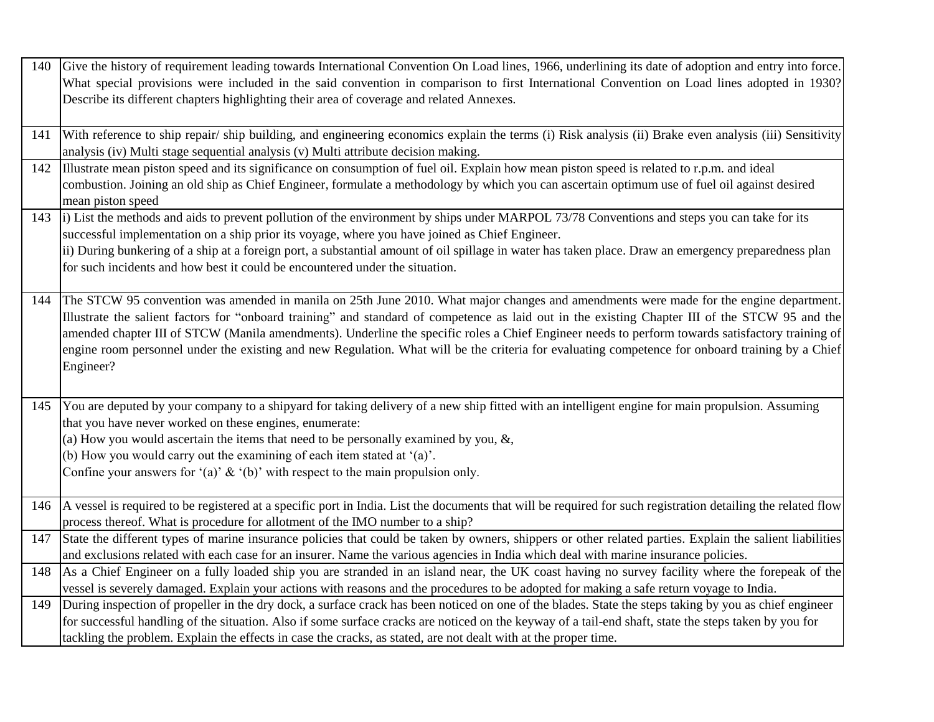|     | 140 Give the history of requirement leading towards International Convention On Load lines, 1966, underlining its date of adoption and entry into force.     |
|-----|--------------------------------------------------------------------------------------------------------------------------------------------------------------|
|     | What special provisions were included in the said convention in comparison to first International Convention on Load lines adopted in 1930?                  |
|     | Describe its different chapters highlighting their area of coverage and related Annexes.                                                                     |
|     |                                                                                                                                                              |
| 141 | With reference to ship repair/ship building, and engineering economics explain the terms (i) Risk analysis (ii) Brake even analysis (iii) Sensitivity        |
|     | analysis (iv) Multi stage sequential analysis (v) Multi attribute decision making.                                                                           |
| 142 | Illustrate mean piston speed and its significance on consumption of fuel oil. Explain how mean piston speed is related to r.p.m. and ideal                   |
|     | combustion. Joining an old ship as Chief Engineer, formulate a methodology by which you can ascertain optimum use of fuel oil against desired                |
|     | mean piston speed                                                                                                                                            |
| 143 | i) List the methods and aids to prevent pollution of the environment by ships under MARPOL 73/78 Conventions and steps you can take for its                  |
|     | successful implementation on a ship prior its voyage, where you have joined as Chief Engineer.                                                               |
|     | ii) During bunkering of a ship at a foreign port, a substantial amount of oil spillage in water has taken place. Draw an emergency preparedness plan         |
|     | for such incidents and how best it could be encountered under the situation.                                                                                 |
|     |                                                                                                                                                              |
| 144 | The STCW 95 convention was amended in manila on 25th June 2010. What major changes and amendments were made for the engine department.                       |
|     | Illustrate the salient factors for "onboard training" and standard of competence as laid out in the existing Chapter III of the STCW 95 and the              |
|     | amended chapter III of STCW (Manila amendments). Underline the specific roles a Chief Engineer needs to perform towards satisfactory training of             |
|     | engine room personnel under the existing and new Regulation. What will be the criteria for evaluating competence for onboard training by a Chief             |
|     | Engineer?                                                                                                                                                    |
|     |                                                                                                                                                              |
| 145 | You are deputed by your company to a shipyard for taking delivery of a new ship fitted with an intelligent engine for main propulsion. Assuming              |
|     | that you have never worked on these engines, enumerate:                                                                                                      |
|     | (a) How you would ascertain the items that need to be personally examined by you, $\&$ ,                                                                     |
|     | (b) How you would carry out the examining of each item stated at '(a)'.                                                                                      |
|     | Confine your answers for '(a)' $\&$ '(b)' with respect to the main propulsion only.                                                                          |
|     |                                                                                                                                                              |
| 146 | A vessel is required to be registered at a specific port in India. List the documents that will be required for such registration detailing the related flow |
|     | process thereof. What is procedure for allotment of the IMO number to a ship?                                                                                |
| 147 | State the different types of marine insurance policies that could be taken by owners, shippers or other related parties. Explain the salient liabilities     |
|     | and exclusions related with each case for an insurer. Name the various agencies in India which deal with marine insurance policies.                          |
| 148 | As a Chief Engineer on a fully loaded ship you are stranded in an island near, the UK coast having no survey facility where the forepeak of the              |
|     | vessel is severely damaged. Explain your actions with reasons and the procedures to be adopted for making a safe return voyage to India.                     |
| 149 | During inspection of propeller in the dry dock, a surface crack has been noticed on one of the blades. State the steps taking by you as chief engineer       |
|     | for successful handling of the situation. Also if some surface cracks are noticed on the keyway of a tail-end shaft, state the steps taken by you for        |
|     | tackling the problem. Explain the effects in case the cracks, as stated, are not dealt with at the proper time.                                              |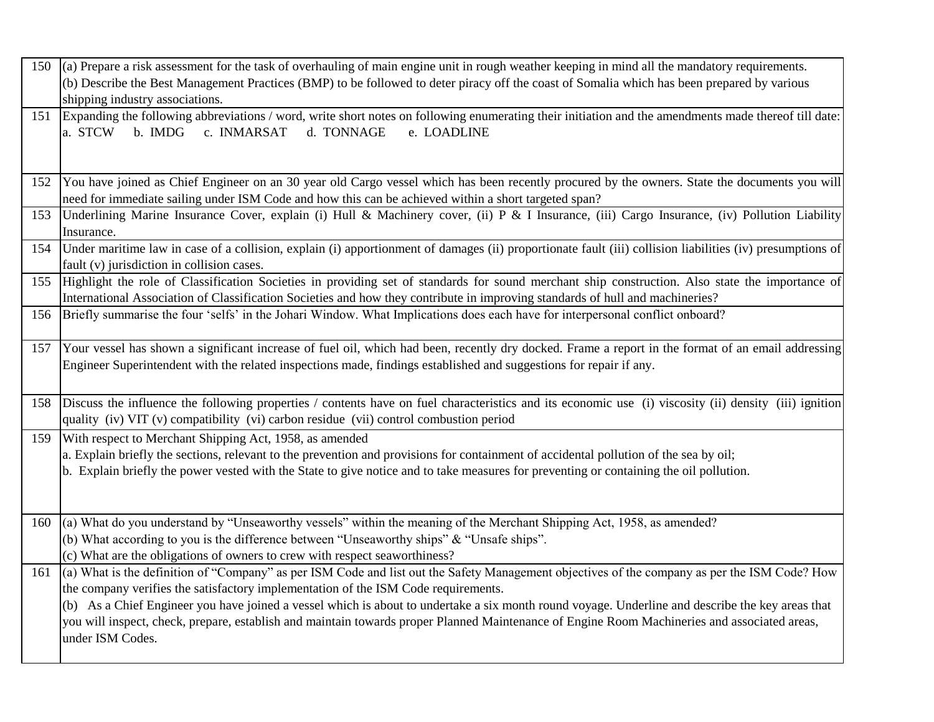| 150 | (a) Prepare a risk assessment for the task of overhauling of main engine unit in rough weather keeping in mind all the mandatory requirements.                                                                                                                           |
|-----|--------------------------------------------------------------------------------------------------------------------------------------------------------------------------------------------------------------------------------------------------------------------------|
|     | (b) Describe the Best Management Practices (BMP) to be followed to deter piracy off the coast of Somalia which has been prepared by various                                                                                                                              |
|     | shipping industry associations.                                                                                                                                                                                                                                          |
| 151 | Expanding the following abbreviations / word, write short notes on following enumerating their initiation and the amendments made thereof till date:                                                                                                                     |
|     | b. IMDG c. INMARSAT<br>d. TONNAGE<br>e. LOADLINE<br>a. STCW                                                                                                                                                                                                              |
|     |                                                                                                                                                                                                                                                                          |
| 152 | You have joined as Chief Engineer on an 30 year old Cargo vessel which has been recently procured by the owners. State the documents you will                                                                                                                            |
|     | need for immediate sailing under ISM Code and how this can be achieved within a short targeted span?                                                                                                                                                                     |
| 153 | Underlining Marine Insurance Cover, explain (i) Hull & Machinery cover, (ii) P & I Insurance, (iii) Cargo Insurance, (iv) Pollution Liability                                                                                                                            |
|     | Insurance.                                                                                                                                                                                                                                                               |
| 154 | Under maritime law in case of a collision, explain (i) apportionment of damages (ii) proportionate fault (iii) collision liabilities (iv) presumptions of                                                                                                                |
|     | fault (v) jurisdiction in collision cases.                                                                                                                                                                                                                               |
| 155 | Highlight the role of Classification Societies in providing set of standards for sound merchant ship construction. Also state the importance of                                                                                                                          |
|     | International Association of Classification Societies and how they contribute in improving standards of hull and machineries?                                                                                                                                            |
| 156 | Briefly summarise the four 'selfs' in the Johari Window. What Implications does each have for interpersonal conflict onboard?                                                                                                                                            |
|     |                                                                                                                                                                                                                                                                          |
| 157 | Your vessel has shown a significant increase of fuel oil, which had been, recently dry docked. Frame a report in the format of an email addressing<br>Engineer Superintendent with the related inspections made, findings established and suggestions for repair if any. |
|     |                                                                                                                                                                                                                                                                          |
|     |                                                                                                                                                                                                                                                                          |
| 158 | Discuss the influence the following properties / contents have on fuel characteristics and its economic use (i) viscosity (ii) density (iii) ignition                                                                                                                    |
|     | quality (iv) VIT (v) compatibility (vi) carbon residue (vii) control combustion period                                                                                                                                                                                   |
| 159 | With respect to Merchant Shipping Act, 1958, as amended                                                                                                                                                                                                                  |
|     | a. Explain briefly the sections, relevant to the prevention and provisions for containment of accidental pollution of the sea by oil;                                                                                                                                    |
|     | b. Explain briefly the power vested with the State to give notice and to take measures for preventing or containing the oil pollution.                                                                                                                                   |
|     |                                                                                                                                                                                                                                                                          |
| 160 | (a) What do you understand by "Unseaworthy vessels" within the meaning of the Merchant Shipping Act, 1958, as amended?                                                                                                                                                   |
|     | (b) What according to you is the difference between "Unseaworthy ships" $\&$ "Unsafe ships".                                                                                                                                                                             |
|     | (c) What are the obligations of owners to crew with respect seaworthiness?                                                                                                                                                                                               |
| 161 | (a) What is the definition of "Company" as per ISM Code and list out the Safety Management objectives of the company as per the ISM Code? How                                                                                                                            |
|     | the company verifies the satisfactory implementation of the ISM Code requirements.                                                                                                                                                                                       |
|     | (b) As a Chief Engineer you have joined a vessel which is about to undertake a six month round voyage. Underline and describe the key areas that                                                                                                                         |
|     | you will inspect, check, prepare, establish and maintain towards proper Planned Maintenance of Engine Room Machineries and associated areas,                                                                                                                             |
|     | under ISM Codes.                                                                                                                                                                                                                                                         |
|     |                                                                                                                                                                                                                                                                          |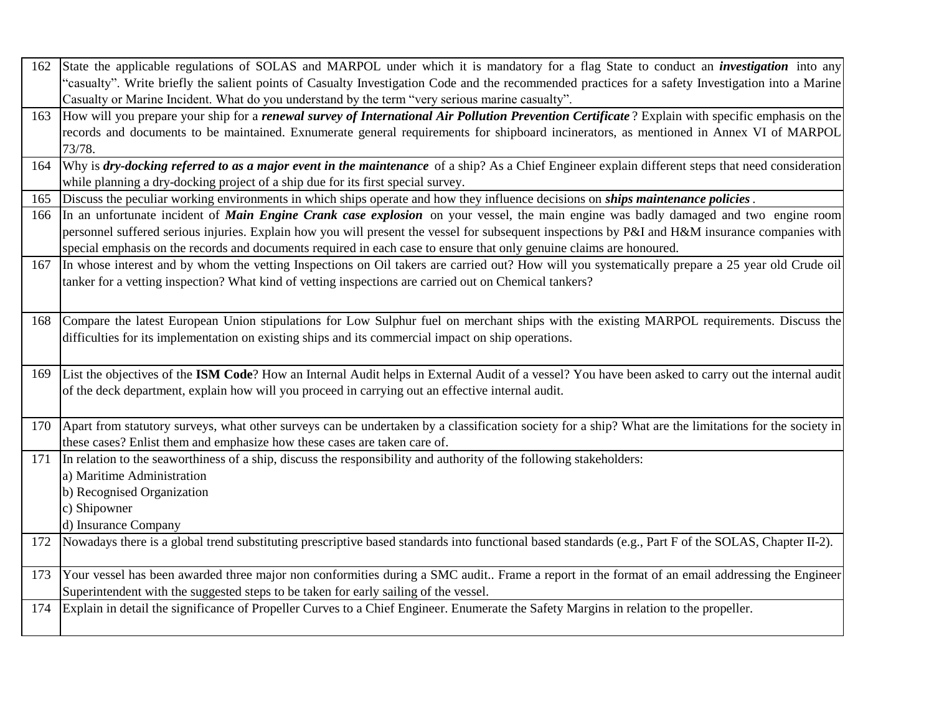| 162 | State the applicable regulations of SOLAS and MARPOL under which it is mandatory for a flag State to conduct an <i>investigation</i> into any                                                                                                         |
|-----|-------------------------------------------------------------------------------------------------------------------------------------------------------------------------------------------------------------------------------------------------------|
|     | "casualty". Write briefly the salient points of Casualty Investigation Code and the recommended practices for a safety Investigation into a Marine<br>Casualty or Marine Incident. What do you understand by the term "very serious marine casualty". |
| 163 | How will you prepare your ship for a <i>renewal survey of International Air Pollution Prevention Certificate</i> ? Explain with specific emphasis on the                                                                                              |
|     | records and documents to be maintained. Exnumerate general requirements for shipboard incinerators, as mentioned in Annex VI of MARPOL                                                                                                                |
|     | 73/78.                                                                                                                                                                                                                                                |
| 164 | Why is dry-docking referred to as a major event in the maintenance of a ship? As a Chief Engineer explain different steps that need consideration                                                                                                     |
|     | while planning a dry-docking project of a ship due for its first special survey.                                                                                                                                                                      |
| 165 | Discuss the peculiar working environments in which ships operate and how they influence decisions on <i>ships maintenance policies</i> .                                                                                                              |
| 166 | In an unfortunate incident of <i>Main Engine Crank case explosion</i> on your vessel, the main engine was badly damaged and two engine room                                                                                                           |
|     | personnel suffered serious injuries. Explain how you will present the vessel for subsequent inspections by P&I and H&M insurance companies with                                                                                                       |
|     | special emphasis on the records and documents required in each case to ensure that only genuine claims are honoured.                                                                                                                                  |
| 167 | In whose interest and by whom the vetting Inspections on Oil takers are carried out? How will you systematically prepare a 25 year old Crude oil                                                                                                      |
|     | tanker for a vetting inspection? What kind of vetting inspections are carried out on Chemical tankers?                                                                                                                                                |
|     |                                                                                                                                                                                                                                                       |
| 168 | Compare the latest European Union stipulations for Low Sulphur fuel on merchant ships with the existing MARPOL requirements. Discuss the                                                                                                              |
|     | difficulties for its implementation on existing ships and its commercial impact on ship operations.                                                                                                                                                   |
|     |                                                                                                                                                                                                                                                       |
| 169 | List the objectives of the ISM Code? How an Internal Audit helps in External Audit of a vessel? You have been asked to carry out the internal audit                                                                                                   |
|     | of the deck department, explain how will you proceed in carrying out an effective internal audit.                                                                                                                                                     |
|     |                                                                                                                                                                                                                                                       |
| 170 | Apart from statutory surveys, what other surveys can be undertaken by a classification society for a ship? What are the limitations for the society in                                                                                                |
|     | these cases? Enlist them and emphasize how these cases are taken care of.                                                                                                                                                                             |
| 171 | In relation to the seaworthiness of a ship, discuss the responsibility and authority of the following stakeholders:                                                                                                                                   |
|     | a) Maritime Administration                                                                                                                                                                                                                            |
|     | b) Recognised Organization                                                                                                                                                                                                                            |
|     | c) Shipowner                                                                                                                                                                                                                                          |
|     | d) Insurance Company                                                                                                                                                                                                                                  |
| 172 | Nowadays there is a global trend substituting prescriptive based standards into functional based standards (e.g., Part F of the SOLAS, Chapter II-2).                                                                                                 |
|     |                                                                                                                                                                                                                                                       |
| 173 | Your vessel has been awarded three major non conformities during a SMC audit Frame a report in the format of an email addressing the Engineer                                                                                                         |
|     | Superintendent with the suggested steps to be taken for early sailing of the vessel.                                                                                                                                                                  |
| 174 | Explain in detail the significance of Propeller Curves to a Chief Engineer. Enumerate the Safety Margins in relation to the propeller.                                                                                                                |
|     |                                                                                                                                                                                                                                                       |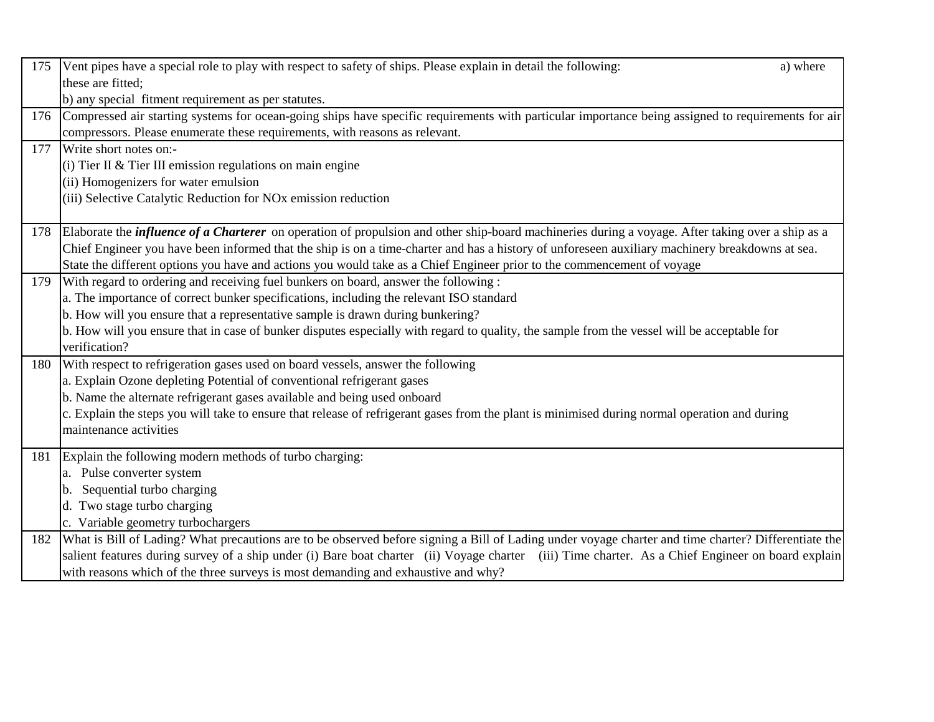| 175 | Vent pipes have a special role to play with respect to safety of ships. Please explain in detail the following:<br>a) where                                  |
|-----|--------------------------------------------------------------------------------------------------------------------------------------------------------------|
|     | these are fitted;                                                                                                                                            |
|     | b) any special fitment requirement as per statutes.                                                                                                          |
| 176 | Compressed air starting systems for ocean-going ships have specific requirements with particular importance being assigned to requirements for air           |
|     | compressors. Please enumerate these requirements, with reasons as relevant.                                                                                  |
| 177 | Write short notes on:-                                                                                                                                       |
|     | (i) Tier II & Tier III emission regulations on main engine                                                                                                   |
|     | (ii) Homogenizers for water emulsion                                                                                                                         |
|     | (iii) Selective Catalytic Reduction for NO <sub>x</sub> emission reduction                                                                                   |
|     |                                                                                                                                                              |
|     | 178 Elaborate the <i>influence of a Charterer</i> on operation of propulsion and other ship-board machineries during a voyage. After taking over a ship as a |
|     | Chief Engineer you have been informed that the ship is on a time-charter and has a history of unforeseen auxiliary machinery breakdowns at sea.              |
|     | State the different options you have and actions you would take as a Chief Engineer prior to the commencement of voyage                                      |
| 179 | With regard to ordering and receiving fuel bunkers on board, answer the following:                                                                           |
|     | a. The importance of correct bunker specifications, including the relevant ISO standard                                                                      |
|     | b. How will you ensure that a representative sample is drawn during bunkering?                                                                               |
|     | b. How will you ensure that in case of bunker disputes especially with regard to quality, the sample from the vessel will be acceptable for                  |
|     | verification?                                                                                                                                                |
| 180 | With respect to refrigeration gases used on board vessels, answer the following                                                                              |
|     | a. Explain Ozone depleting Potential of conventional refrigerant gases                                                                                       |
|     | b. Name the alternate refrigerant gases available and being used onboard                                                                                     |
|     | c. Explain the steps you will take to ensure that release of refrigerant gases from the plant is minimised during normal operation and during                |
|     | maintenance activities                                                                                                                                       |
| 181 | Explain the following modern methods of turbo charging:                                                                                                      |
|     | a. Pulse converter system                                                                                                                                    |
|     | b. Sequential turbo charging                                                                                                                                 |
|     | d. Two stage turbo charging                                                                                                                                  |
|     | c. Variable geometry turbochargers                                                                                                                           |
| 182 | What is Bill of Lading? What precautions are to be observed before signing a Bill of Lading under voyage charter and time charter? Differentiate the         |
|     | salient features during survey of a ship under (i) Bare boat charter (ii) Voyage charter (iii) Time charter. As a Chief Engineer on board explain            |
|     | with reasons which of the three surveys is most demanding and exhaustive and why?                                                                            |